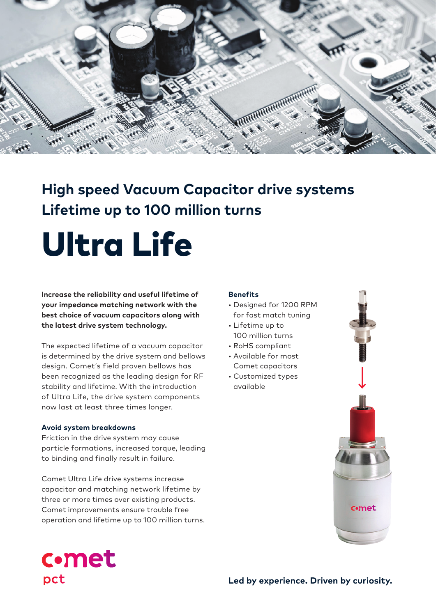

# **High speed Vacuum Capacitor drive systems Lifetime up to 100 million turns**

# Ultra Life

**Increase the reliability and useful lifetime of your impedance matching network with the best choice of vacuum capacitors along with the latest drive system technology.**

The expected lifetime of a vacuum capacitor is determined by the drive system and bellows design. Comet's field proven bellows has been recognized as the leading design for RF stability and lifetime. With the introduction of Ultra Life, the drive system components now last at least three times longer.

### **Avoid system breakdowns**

Friction in the drive system may cause particle formations, increased torque, leading to binding and finally result in failure.

Comet Ultra Life drive systems increase capacitor and matching network lifetime by three or more times over existing products. Comet improvements ensure trouble free operation and lifetime up to 100 million turns.

#### **Benefits**

- Designed for 1200 RPM for fast match tuning
- Lifetime up to 100 million turns
- RoHS compliant
- Available for most Comet capacitors
- Customized types available



# **c**•met pct

**Led by experience. Driven by curiosity.**